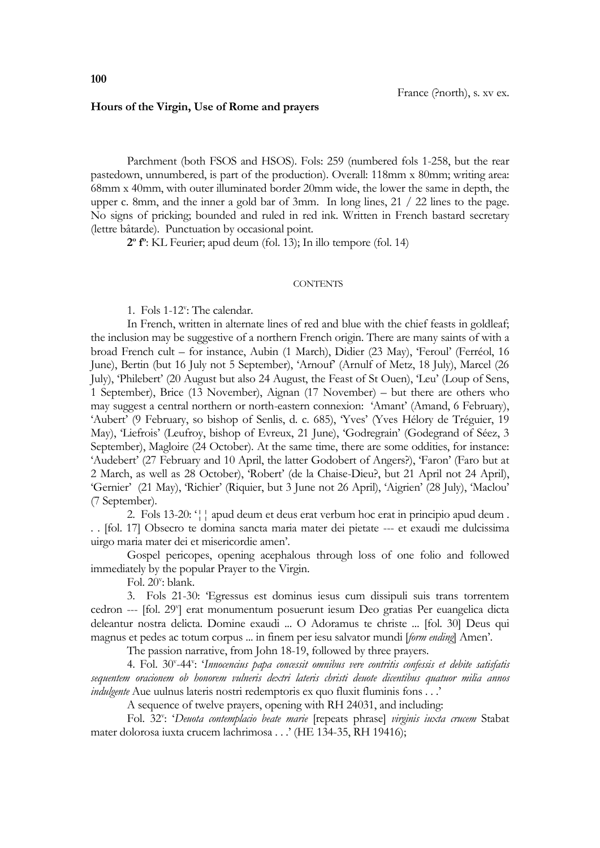## **Hours of the Virgin, Use of Rome and prayers**

Parchment (both FSOS and HSOS). Fols: 259 (numbered fols 1-258, but the rear pastedown, unnumbered, is part of the production). Overall: 118mm x 80mm; writing area: 68mm x 40mm, with outer illuminated border 20mm wide, the lower the same in depth, the upper c. 8mm, and the inner a gold bar of 3mm. In long lines, 21 / 22 lines to the page. No signs of pricking; bounded and ruled in red ink. Written in French bastard secretary (lettre bâtarde). Punctuation by occasional point.

**2 o f o** : KL Feurier; apud deum (fol. 13); In illo tempore (fol. 14)

## **CONTENTS**

1. Fols 1-12<sup>v</sup>: The calendar.

In French, written in alternate lines of red and blue with the chief feasts in goldleaf; the inclusion may be suggestive of a northern French origin. There are many saints of with a broad French cult – for instance, Aubin (1 March), Didier (23 May), 'Feroul' (Ferréol, 16 June), Bertin (but 16 July not 5 September), 'Arnouf' (Arnulf of Metz, 18 July), Marcel (26 July), 'Philebert' (20 August but also 24 August, the Feast of St Ouen), 'Leu' (Loup of Sens, 1 September), Brice (13 November), Aignan (17 November) – but there are others who may suggest a central northern or north-eastern connexion: 'Amant' (Amand, 6 February), 'Aubert' (9 February, so bishop of Senlis, d. c. 685), 'Yves' (Yves Hélory de Tréguier, 19 May), 'Liefrois' (Leufroy, bishop of Evreux, 21 June), 'Godregrain' (Godegrand of Séez, 3 September), Magloire (24 October). At the same time, there are some oddities, for instance: 'Audebert' (27 February and 10 April, the latter Godobert of Angers?), 'Faron' (Faro but at 2 March, as well as 28 October), 'Robert' (de la Chaise-Dieu?, but 21 April not 24 April), 'Gernier' (21 May), 'Richier' (Riquier, but 3 June not 26 April), 'Aigrien' (28 July), 'Maclou' (7 September).

2. Fols 13-20: '¦¦ apud deum et deus erat verbum hoc erat in principio apud deum . . . [fol. 17] Obsecro te domina sancta maria mater dei pietate --- et exaudi me dulcissima uirgo maria mater dei et misericordie amen'.

Gospel pericopes, opening acephalous through loss of one folio and followed immediately by the popular Prayer to the Virgin.

Fol. 20": blank.

3. Fols 21-30: 'Egressus est dominus iesus cum dissipuli suis trans torrentem cedron --- [fol. 29<sup>v</sup>] erat monumentum posuerunt iesum Deo gratias Per euangelica dicta deleantur nostra delicta. Domine exaudi ... O Adoramus te christe ... [fol. 30] Deus qui magnus et pedes ac totum corpus ... in finem per iesu salvator mundi [*form ending*] Amen'.

The passion narrative, from John 18-19, followed by three prayers.

4. Fol. 30<sup>v</sup>-44<sup>v</sup>: '*Innocencius papa concessit omnibus vere contritis confessis et debite satisfatis sequentem oracionem ob honorem vulneris dextri lateris christi deuote dicentibus quatuor milia annos indulgente* Aue uulnus lateris nostri redemptoris ex quo fluxit fluminis fons . . .'

A sequence of twelve prayers, opening with RH 24031, and including:

Fol. 32": 'Deuota contemplacio beate marie [repeats phrase] virginis iuxta crucem Stabat mater dolorosa iuxta crucem lachrimosa . . .' (HE 134-35, RH 19416);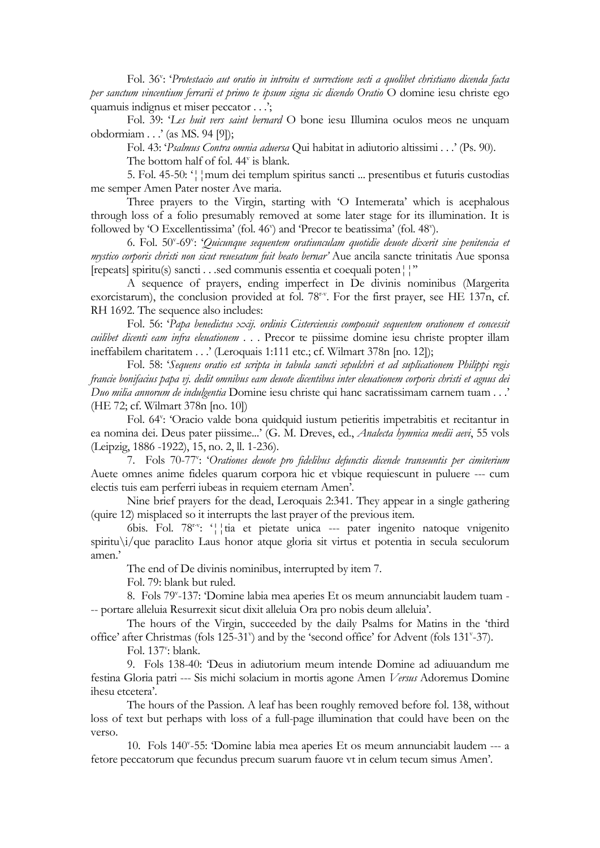Fol. 36<sup>v</sup>: 'Protestacio aut oratio in introitu et surrectione secti a quolibet christiano dicenda facta *per sanctum vincentium ferrarii et primo te ipsum signa sic dicendo Oratio* O domine iesu christe ego quamuis indignus et miser peccator . . .';

Fol. 39: '*Les huit vers saint bernard* O bone iesu Illumina oculos meos ne unquam obdormiam . . .' (as MS. 94 [9]);

Fol. 43: '*Psalmus Contra omnia aduersa* Qui habitat in adiutorio altissimi . . .' (Ps. 90).

The bottom half of fol. 44<sup>v</sup> is blank.

5. Fol. 45-50: '¦¦mum dei templum spiritus sancti ... presentibus et futuris custodias me semper Amen Pater noster Ave maria.

Three prayers to the Virgin, starting with 'O Intemerata' which is acephalous through loss of a folio presumably removed at some later stage for its illumination. It is followed by 'O Excellentissima' (fol. 46") and 'Precor te beatissima' (fol. 48").

6. Fol. 50<sup>v</sup> -69<sup>v</sup> : '*Quicunque sequentem oratiunculam quotidie deuote dixerit sine penitencia et mystico corporis christi non sicut reuesatum fuit beato bernar'* Aue ancila sancte trinitatis Aue sponsa [repeats] spiritu(s) sancti . . .sed communis essentia et coequali poten¦¦''

A sequence of prayers, ending imperfect in De divinis nominibus (Margerita exorcistarum), the conclusion provided at fol. 78<sup>r-v</sup>. For the first prayer, see HE 137n, cf. RH 1692. The sequence also includes:

Fol. 56: '*Papa benedictus xxij. ordinis Cisterciensis composuit sequentem orationem et concessit cuilibet dicenti eam infra eleuationem* . . . Precor te piissime domine iesu christe propter illam ineffabilem charitatem . . .' (Leroquais 1:111 etc.; cf. Wilmart 378n [no. 12]);

Fol. 58: '*Sequens oratio est scripta in tabula sancti sepulchri et ad suplicationem Philippi regis francie bonifacius papa vj. dedit omnibus eam deuote dicentibus inter eleuationem corporis christi et agnus dei Duo milia annorum de indulgentia* Domine iesu christe qui hanc sacratissimam carnem tuam . . .' (HE 72; cf. Wilmart 378n [no. 10])

Fol. 64<sup>v</sup>: 'Oracio valde bona quidquid iustum petieritis impetrabitis et recitantur in ea nomina dei. Deus pater piissime...' (G. M. Dreves, ed., *Analecta hymnica medii aevi*, 55 vols (Leipzig, 1886 -1922), 15, no. 2, ll. 1-236).

7. Fols 70-77<sup>v</sup>: 'Orationes deuote pro fidelibus defunctis dicende transeuntis per cimiterium Auete omnes anime fideles quarum corpora hic et vbique requiescunt in puluere --- cum electis tuis eam perferri iubeas in requiem eternam Amen'.

Nine brief prayers for the dead, Leroquais 2:341. They appear in a single gathering (quire 12) misplaced so it interrupts the last prayer of the previous item.

6bis. Fol. 78r-v : '¦¦tia et pietate unica --- pater ingenito natoque vnigenito spiritu\i/que paraclito Laus honor atque gloria sit virtus et potentia in secula seculorum amen.'

The end of De divinis nominibus, interrupted by item 7.

Fol. 79: blank but ruled.

8. Fols 79<sup>v</sup> -137: 'Domine labia mea aperies Et os meum annunciabit laudem tuam - -- portare alleluia Resurrexit sicut dixit alleluia Ora pro nobis deum alleluia'.

The hours of the Virgin, succeeded by the daily Psalms for Matins in the 'third office' after Christmas (fols 125-31') and by the 'second office' for Advent (fols 131'-37).

Fol. 137<sup>v</sup>: blank.

9. Fols 138-40: 'Deus in adiutorium meum intende Domine ad adiuuandum me festina Gloria patri --- Sis michi solacium in mortis agone Amen *Versus* Adoremus Domine ihesu etcetera'.

The hours of the Passion. A leaf has been roughly removed before fol. 138, without loss of text but perhaps with loss of a full-page illumination that could have been on the verso.

10. Fols 140<sup>v</sup> -55: 'Domine labia mea aperies Et os meum annunciabit laudem --- a fetore peccatorum que fecundus precum suarum fauore vt in celum tecum simus Amen'.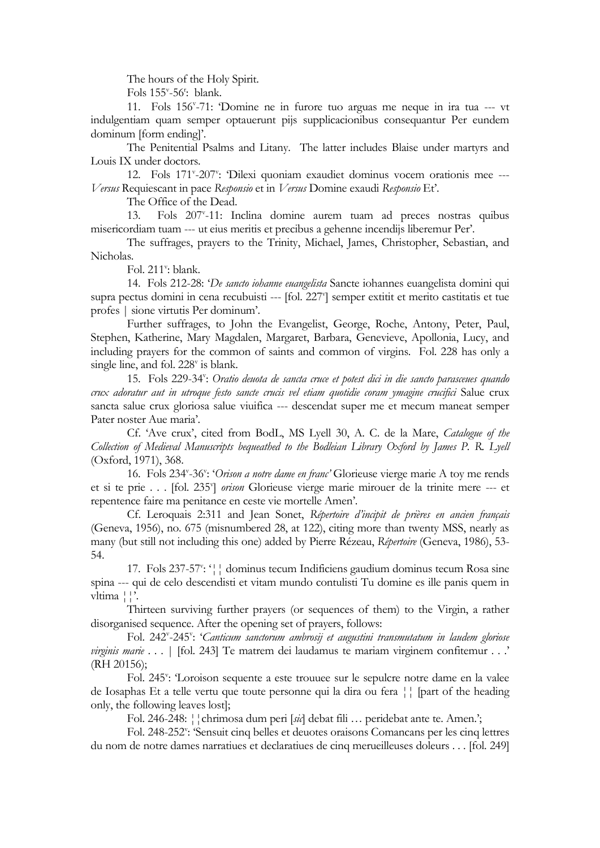The hours of the Holy Spirit.

Fols 155<sup>v</sup>-56<sup>r</sup>: blank.

11. Fols 156<sup>v</sup> -71: 'Domine ne in furore tuo arguas me neque in ira tua --- vt indulgentiam quam semper optauerunt pijs supplicacionibus consequantur Per eundem dominum [form ending]'.

The Penitential Psalms and Litany. The latter includes Blaise under martyrs and Louis IX under doctors.

12. Fols 171<sup>v</sup>-207<sup>v</sup>: 'Dilexi quoniam exaudiet dominus vocem orationis mee ---*Versus* Requiescant in pace *Responsio* et in *Versus* Domine exaudi *Responsio* Et'.

The Office of the Dead.

13. Fols 207<sup>v</sup> -11: Inclina domine aurem tuam ad preces nostras quibus misericordiam tuam --- ut eius meritis et precibus a gehenne incendijs liberemur Per'.

The suffrages, prayers to the Trinity, Michael, James, Christopher, Sebastian, and Nicholas.

Fol. 211<sup>v</sup>: blank.

14. Fols 212-28: '*De sancto iohanne euangelista* Sancte iohannes euangelista domini qui supra pectus domini in cena recubuisti --- [fol. 227"] semper extitit et merito castitatis et tue profes | sione virtutis Per dominum'.

Further suffrages, to John the Evangelist, George, Roche, Antony, Peter, Paul, Stephen, Katherine, Mary Magdalen, Margaret, Barbara, Genevieve, Apollonia, Lucy, and including prayers for the common of saints and common of virgins. Fol. 228 has only a single line, and fol. 228<sup>v</sup> is blank.

15. Fols 229-34": Oratio deuota de sancta cruce et potest dici in die sancto parasceues quando *crux adoratur aut in utroque festo sancte crucis vel etiam quotidie coram ymagine crucifici* Salue crux sancta salue crux gloriosa salue viuifica --- descendat super me et mecum maneat semper Pater noster Aue maria'.

Cf. 'Ave crux', cited from BodL, MS Lyell 30, A. C. de la Mare, *Catalogue of the Collection of Medieval Manuscripts bequeathed to the Bodleian Library Oxford by James P. R. Lyell* (Oxford, 1971), 368.

16. Fols 234<sup>v</sup>-36<sup>v</sup>: '*Orison a notre dame en franc*' Glorieuse vierge marie A toy me rends et si te prie . . . [fol. 235<sup>Y</sup>] *orison* Glorieuse vierge marie mirouer de la trinite mere --- et repentence faire ma penitance en ceste vie mortelle Amen'.

Cf. Leroquais 2:311 and Jean Sonet, *Répertoire d'incipit de prières en ancien français*  (Geneva, 1956), no. 675 (misnumbered 28, at 122), citing more than twenty MSS, nearly as many (but still not including this one) added by Pierre Rézeau, *Répertoire* (Geneva, 1986), 53- 54.

17. Fols 237-57": '|| dominus tecum Indificiens gaudium dominus tecum Rosa sine spina --- qui de celo descendisti et vitam mundo contulisti Tu domine es ille panis quem in vltima ¦¦'.

Thirteen surviving further prayers (or sequences of them) to the Virgin, a rather disorganised sequence. After the opening set of prayers, follows:

Fol. 242<sup>v</sup>-245<sup>v</sup>: '*Canticum sanctorum ambrosij et augustini transmutatum in laudem gloriose virginis marie* . . . | [fol. 243] Te matrem dei laudamus te mariam virginem confitemur . . .' (RH 20156);

Fol. 245": 'Loroison sequente a este trouuee sur le sepulcre notre dame en la valee de Iosaphas Et a telle vertu que toute personne qui la dira ou fera ¦¦ [part of the heading only, the following leaves lost];

Fol. 246-248: ¦¦chrimosa dum peri [*sic*] debat fili … peridebat ante te. Amen.';

Fol. 248-252": 'Sensuit cinq belles et deuotes oraisons Comancans per les cinq lettres du nom de notre dames narratiues et declaratiues de cinq merueilleuses doleurs . . . [fol. 249]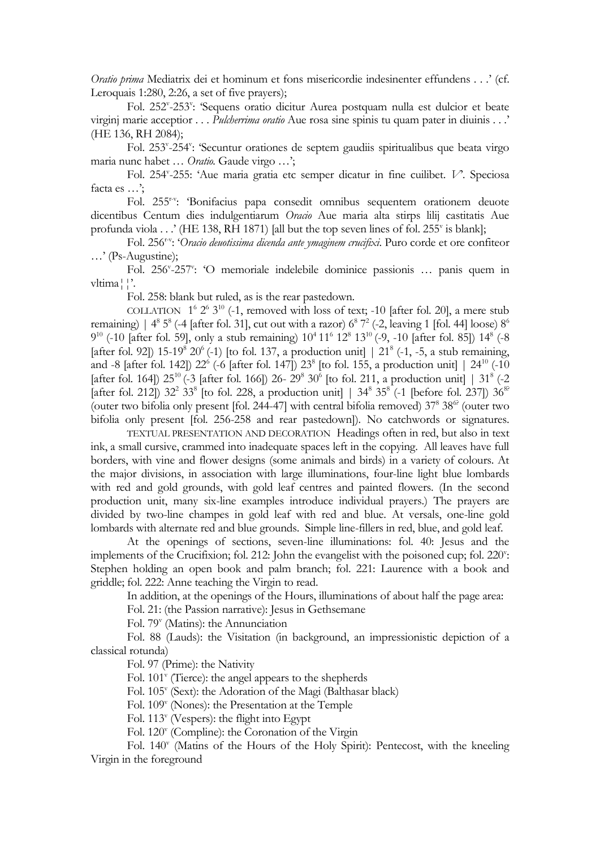*Oratio prima* Mediatrix dei et hominum et fons misericordie indesinenter effundens . . .' (cf. Leroquais 1:280, 2:26, a set of five prayers);

Fol. 252"-253": 'Sequens oratio dicitur Aurea postquam nulla est dulcior et beate virginj marie acceptior . . . *Pulcherrima oratio* Aue rosa sine spinis tu quam pater in diuinis . . .' (HE 136, RH 2084);

Fol. 253<sup>v</sup>-254<sup>v</sup>: 'Secuntur orationes de septem gaudiis spiritualibus que beata virgo maria nunc habet … *Oratio.* Gaude virgo …';

Fol. 254<sup>v</sup> -255: 'Aue maria gratia etc semper dicatur in fine cuilibet. *V*'*.* Speciosa facta es …';

Fol. 255<sup>r-v</sup>: 'Bonifacius papa consedit omnibus sequentem orationem deuote dicentibus Centum dies indulgentiarum *Oracio* Aue maria alta stirps lilij castitatis Aue profunda viola . . .' (HE 138, RH 1871) [all but the top seven lines of fol. 255<sup>v</sup> is blank];

Fol. 256<sup>r-v</sup>: '*Oracio deuotissima dicenda ante ymaginem crucifixi*. Puro corde et ore confiteor …' (Ps-Augustine);

Fol. 256<sup>v</sup>-257<sup>v</sup>: 'O memoriale indelebile dominice passionis ... panis quem in vltima¦¦'.

Fol. 258: blank but ruled, as is the rear pastedown.

COLLATION  $1^6 2^6 3^{10}$  (-1, removed with loss of text; -10 [after fol. 20], a mere stub remaining) |  $4^8$  5<sup>8</sup> (-4 [after fol. 31], cut out with a razor)  $6^8$  7<sup>2</sup> (-2, leaving 1 [fol. 44] loose)  $8^6$  $9^{10}$  (-10 [after fol. 59], only a stub remaining)  $10^4 11^6 12^8 13^{10}$  (-9, -10 [after fol. 85])  $14^8$  (-8 [after fol. 92]) 15-19<sup>8</sup> 20<sup>6</sup> (-1) [to fol. 137, a production unit] | 21<sup>8</sup> (-1, -5, a stub remaining, and -8 [after fol. 142])  $22^6$  (-6 [after fol. 147])  $23^8$  [to fol. 155, a production unit]  $\mid 24^{10}$  (-10 [after fol. 164])  $25^{10}$  (-3 [after fol. 166]) 26-  $29^8$  30<sup>6</sup> [to fol. 211, a production unit] |  $31^8$  (-2 [after fol. 212])  $32^2$   $33^8$  [to fol. 228, a production unit] |  $34^8$   $35^8$  (-1 [before fol. 237])  $36^{8}$ (outer two bifolia only present [fol. 244-47] with central bifolia removed)  $37<sup>8</sup> 38<sup>6</sup>$  (outer two bifolia only present [fol. 256-258 and rear pastedown]). No catchwords or signatures.

TEXTUAL PRESENTATION AND DECORATION Headings often in red, but also in text ink, a small cursive, crammed into inadequate spaces left in the copying. All leaves have full borders, with vine and flower designs (some animals and birds) in a variety of colours. At the major divisions, in association with large illuminations, four-line light blue lombards with red and gold grounds, with gold leaf centres and painted flowers. (In the second production unit, many six-line examples introduce individual prayers.) The prayers are divided by two-line champes in gold leaf with red and blue. At versals, one-line gold lombards with alternate red and blue grounds. Simple line-fillers in red, blue, and gold leaf.

At the openings of sections, seven-line illuminations: fol. 40: Jesus and the implements of the Crucifixion; fol. 212: John the evangelist with the poisoned cup; fol. 220": Stephen holding an open book and palm branch; fol. 221: Laurence with a book and griddle; fol. 222: Anne teaching the Virgin to read.

In addition, at the openings of the Hours, illuminations of about half the page area:

Fol. 21: (the Passion narrative): Jesus in Gethsemane

Fol. 79<sup>v</sup> (Matins): the Annunciation

Fol. 88 (Lauds): the Visitation (in background, an impressionistic depiction of a classical rotunda)

Fol. 97 (Prime): the Nativity

Fol. 101<sup>v</sup> (Tierce): the angel appears to the shepherds

Fol. 105<sup>v</sup> (Sext): the Adoration of the Magi (Balthasar black)

Fol. 109<sup>v</sup> (Nones): the Presentation at the Temple

Fol. 113<sup>v</sup> (Vespers): the flight into Egypt

Fol. 120<sup>v</sup> (Compline): the Coronation of the Virgin

Fol. 140<sup>v</sup> (Matins of the Hours of the Holy Spirit): Pentecost, with the kneeling Virgin in the foreground